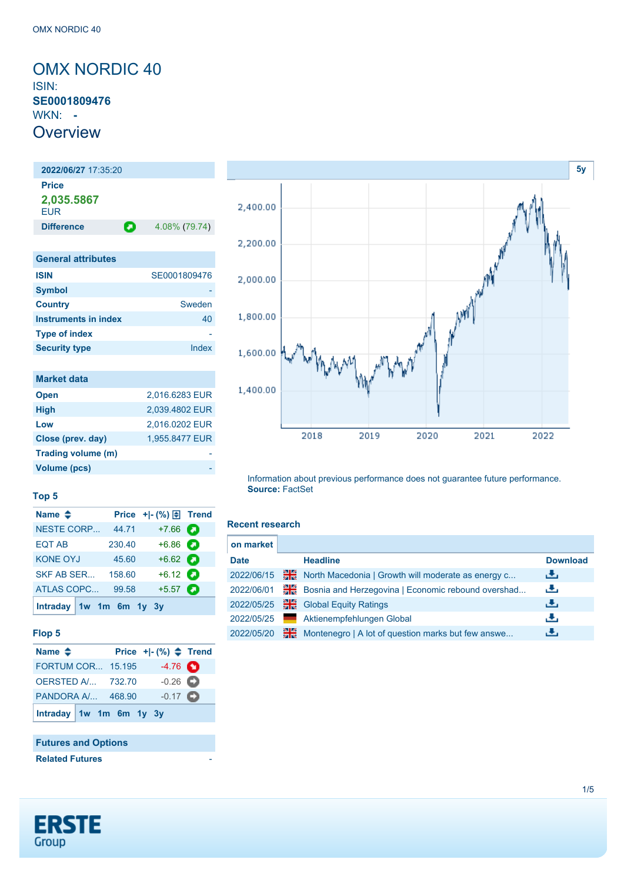<span id="page-0-0"></span>OMX NORDIC 40 ISIN: **SE0001809476** WKN: **- Overview** 

**2022/06/27** 17:35:20 **Price 2,035.5867** EUR **Difference 1.08% (79.74) General attributes ISIN** SE0001809476 **Symbol Country** Sweden **Instruments in index** 40 **Type of index** 

| <b>Market data</b> |                |
|--------------------|----------------|
| <b>Open</b>        | 2.016.6283 EUR |
| <b>High</b>        | 2,039.4802 EUR |
| Low                | 2.016.0202 EUR |
| Close (prev. day)  | 1,955.8477 EUR |
| Trading volume (m) |                |
| Volume (pcs)       |                |

**Security type Index** 



#### Information about previous performance does not guarantee future performance. **Source:** FactSet

### **Recent research**

| on market   |    |                                                    |                 |
|-------------|----|----------------------------------------------------|-----------------|
| <b>Date</b> |    | <b>Headline</b>                                    | <b>Download</b> |
| 2022/06/15  | ₩€ | North Macedonia   Growth will moderate as energy c | رنان            |
| 2022/06/01  | ₩€ | Bosnia and Herzegovina   Economic rebound overshad | رنان            |
| 2022/05/25  | ₩€ | <b>Global Equity Ratings</b>                       | 击               |
| 2022/05/25  |    | Aktienempfehlungen Global                          | رنان            |
| 2022/05/20  | ₩€ | Montenegro   A lot of question marks but few answe | æ,              |

# **Top 5**

| Name $\triangleq$ |                         |                                 |  |
|-------------------|-------------------------|---------------------------------|--|
| <b>NESTE CORP</b> | 44.71                   | $+7.66$ $\bullet$               |  |
| <b>EQT AB</b>     | 230.40                  | $+6.86$ $\Box$                  |  |
| <b>KONE OYJ</b>   | 45.60                   | $+6.62$ $\bullet$               |  |
| SKF AB SER        | 158.60                  | $+6.12$ $\bullet$               |  |
| <b>ATLAS COPC</b> | 99.58                   | $+5.57$ $\qquad \qquad \bullet$ |  |
|                   | Intraday 1w 1m 6m 1y 3y |                                 |  |

#### **Flop 5**

| Name $\triangleq$        |  | Price $+[-(%) \triangleq$ Trend |  |
|--------------------------|--|---------------------------------|--|
| <b>FORTUM COR 15.195</b> |  | $-4.76$ $\bullet$               |  |
| <b>OERSTED A/ 732.70</b> |  | $-0.26$ $\bullet$               |  |
| PANDORA A/ 468.90        |  | $-0.17$ $\bullet$               |  |
| Intraday 1w 1m 6m 1y 3y  |  |                                 |  |

# **Futures and Options**

**Related Futures** 

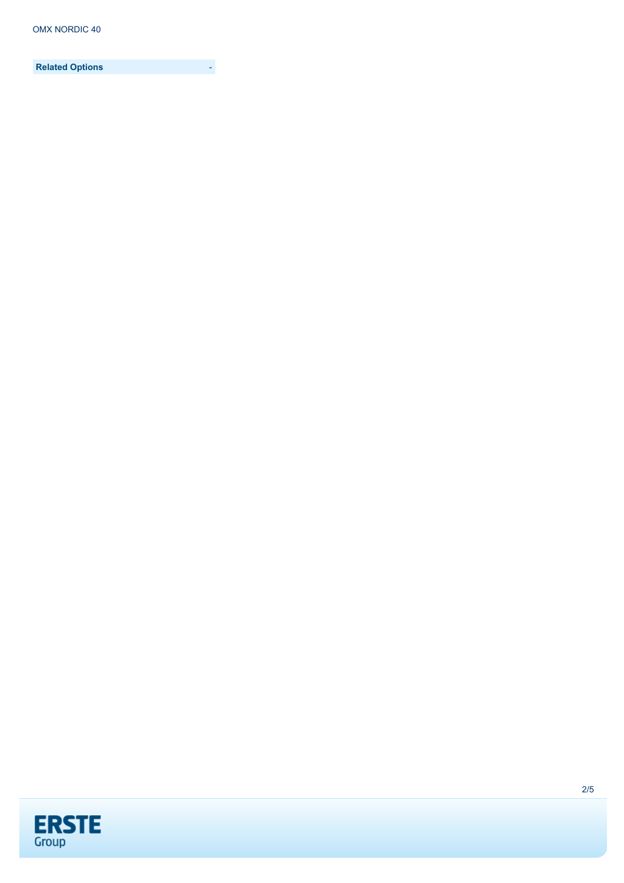**Related Options** -

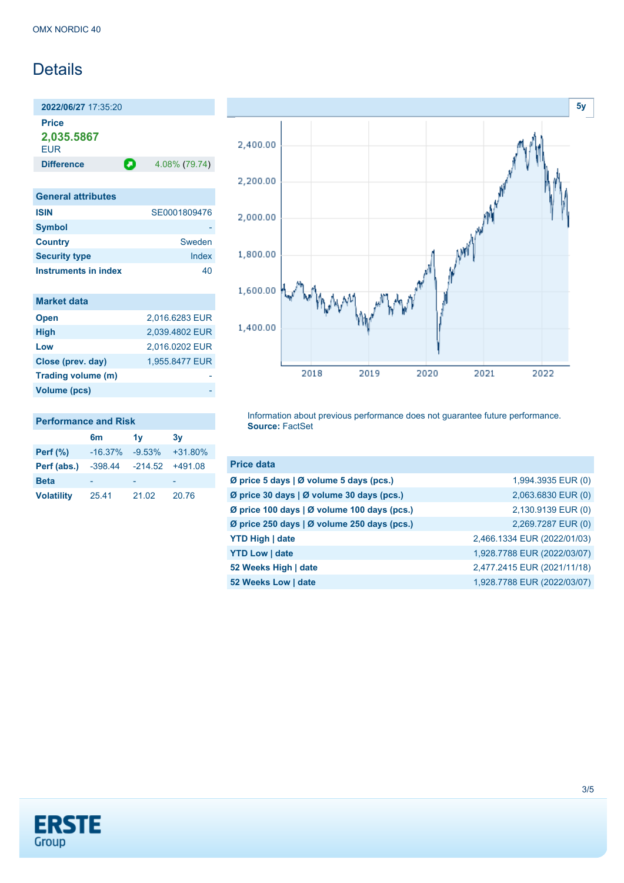# Details

**2022/06/27** 17:35:20 **Price 2,035.5867**

**EUR** 

**Difference 1.08% (79.74)** 

| <b>General attributes</b> |              |
|---------------------------|--------------|
| <b>ISIN</b>               | SE0001809476 |
| <b>Symbol</b>             |              |
| <b>Country</b>            | Sweden       |
| <b>Security type</b>      | Index        |
| Instruments in index      | 40           |

| <b>Market data</b>  |                |
|---------------------|----------------|
| <b>Open</b>         | 2,016.6283 EUR |
| <b>High</b>         | 2,039.4802 EUR |
| Low                 | 2,016.0202 EUR |
| Close (prev. day)   | 1,955.8477 EUR |
| Trading volume (m)  |                |
| <b>Volume (pcs)</b> |                |



Information about previous performance does not guarantee future performance. **Source:** FactSet

| <b>Price data</b>                                             |                             |
|---------------------------------------------------------------|-----------------------------|
| Ø price 5 days   Ø volume 5 days (pcs.)                       | 1,994.3935 EUR (0)          |
| $\emptyset$ price 30 days   $\emptyset$ volume 30 days (pcs.) | 2,063.6830 EUR (0)          |
| Ø price 100 days   Ø volume 100 days (pcs.)                   | 2,130.9139 EUR (0)          |
| Ø price 250 days   Ø volume 250 days (pcs.)                   | 2,269.7287 EUR (0)          |
| <b>YTD High   date</b>                                        | 2,466.1334 EUR (2022/01/03) |
| <b>YTD Low   date</b>                                         | 1,928.7788 EUR (2022/03/07) |
| 52 Weeks High   date                                          | 2,477.2415 EUR (2021/11/18) |
| 52 Weeks Low   date                                           | 1,928.7788 EUR (2022/03/07) |



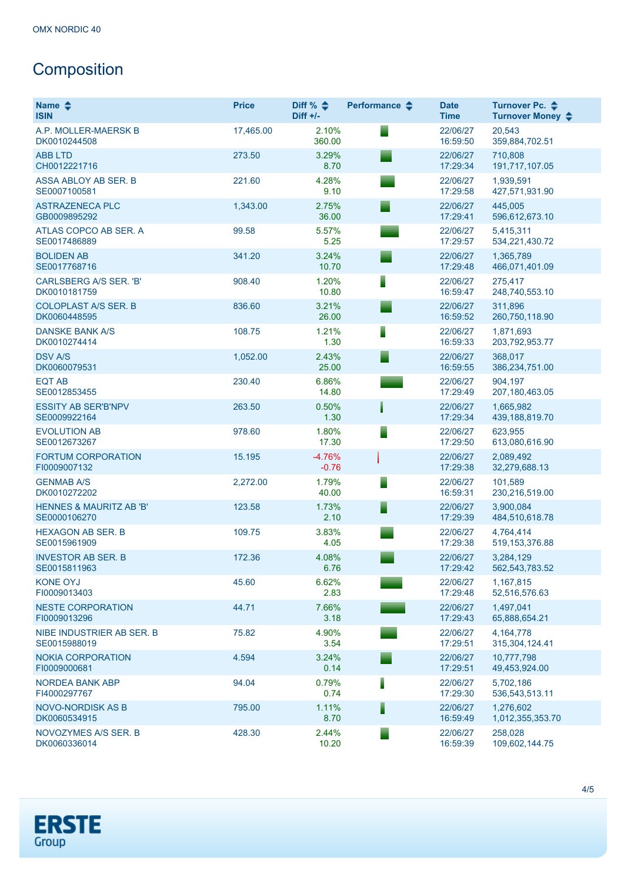# **Composition**

| Name $\triangle$<br><b>ISIN</b>                    | <b>Price</b> | Diff % $\triangleq$<br>$Diff +/-$ | Performance $\triangle$ | <b>Date</b><br><b>Time</b> | Turnover Pc. ♦<br>Turnover Money $\div$ |
|----------------------------------------------------|--------------|-----------------------------------|-------------------------|----------------------------|-----------------------------------------|
| A.P. MOLLER-MAERSK B<br>DK0010244508               | 17,465.00    | 2.10%<br>360.00                   |                         | 22/06/27<br>16:59:50       | 20,543<br>359,884,702.51                |
| <b>ABB LTD</b><br>CH0012221716                     | 273.50       | 3.29%<br>8.70                     |                         | 22/06/27<br>17:29:34       | 710.808<br>191,717,107.05               |
| ASSA ABLOY AB SER. B<br>SE0007100581               | 221.60       | 4.28%<br>9.10                     |                         | 22/06/27<br>17:29:58       | 1,939,591<br>427,571,931.90             |
| <b>ASTRAZENECA PLC</b><br>GB0009895292             | 1,343.00     | 2.75%<br>36.00                    |                         | 22/06/27<br>17:29:41       | 445,005<br>596,612,673.10               |
| ATLAS COPCO AB SER. A<br>SE0017486889              | 99.58        | 5.57%<br>5.25                     |                         | 22/06/27<br>17:29:57       | 5,415,311<br>534,221,430.72             |
| <b>BOLIDEN AB</b><br>SE0017768716                  | 341.20       | 3.24%<br>10.70                    |                         | 22/06/27<br>17:29:48       | 1,365,789<br>466,071,401.09             |
| <b>CARLSBERG A/S SER. 'B'</b><br>DK0010181759      | 908.40       | 1.20%<br>10.80                    |                         | 22/06/27<br>16:59:47       | 275,417<br>248,740,553.10               |
| <b>COLOPLAST A/S SER. B</b><br>DK0060448595        | 836.60       | 3.21%<br>26.00                    |                         | 22/06/27<br>16:59:52       | 311.896<br>260,750,118.90               |
| <b>DANSKE BANK A/S</b><br>DK0010274414             | 108.75       | 1.21%<br>1.30                     |                         | 22/06/27<br>16:59:33       | 1,871,693<br>203,792,953.77             |
| <b>DSV A/S</b><br>DK0060079531                     | 1,052.00     | 2.43%<br>25.00                    |                         | 22/06/27<br>16:59:55       | 368,017<br>386,234,751.00               |
| <b>EQT AB</b><br>SE0012853455                      | 230.40       | 6.86%<br>14.80                    |                         | 22/06/27<br>17:29:49       | 904,197<br>207, 180, 463.05             |
| <b>ESSITY AB SER'B'NPV</b><br>SE0009922164         | 263.50       | 0.50%<br>1.30                     |                         | 22/06/27<br>17:29:34       | 1,665,982<br>439, 188, 819. 70          |
| <b>EVOLUTION AB</b><br>SE0012673267                | 978.60       | 1.80%<br>17.30                    |                         | 22/06/27<br>17:29:50       | 623,955<br>613,080,616.90               |
| <b>FORTUM CORPORATION</b><br>FI0009007132          | 15.195       | $-4.76%$<br>$-0.76$               |                         | 22/06/27<br>17:29:38       | 2,089,492<br>32,279,688.13              |
| <b>GENMAB A/S</b><br>DK0010272202                  | 2,272.00     | 1.79%<br>40.00                    |                         | 22/06/27<br>16:59:31       | 101,589<br>230,216,519.00               |
| <b>HENNES &amp; MAURITZ AB 'B'</b><br>SE0000106270 | 123.58       | 1.73%<br>2.10                     |                         | 22/06/27<br>17:29:39       | 3,900,084<br>484,510,618.78             |
| <b>HEXAGON AB SER. B</b><br>SE0015961909           | 109.75       | 3.83%<br>4.05                     |                         | 22/06/27<br>17:29:38       | 4,764,414<br>519, 153, 376.88           |
| <b>INVESTOR AB SER. B</b><br>SE0015811963          | 172.36       | 4.08%<br>6.76                     |                         | 22/06/27<br>17:29:42       | 3,284,129<br>562, 543, 783. 52          |
| <b>KONE OYJ</b><br>FI0009013403                    | 45.60        | 6.62%<br>2.83                     |                         | 22/06/27<br>17:29:48       | 1,167,815<br>52,516,576.63              |
| <b>NESTE CORPORATION</b><br>FI0009013296           | 44.71        | 7.66%<br>3.18                     |                         | 22/06/27<br>17:29:43       | 1,497,041<br>65,888,654.21              |
| NIBE INDUSTRIER AB SER. B<br>SE0015988019          | 75.82        | 4.90%<br>3.54                     |                         | 22/06/27<br>17:29:51       | 4,164,778<br>315,304,124.41             |
| <b>NOKIA CORPORATION</b><br>FI0009000681           | 4.594        | 3.24%<br>0.14                     |                         | 22/06/27<br>17:29:51       | 10,777,798<br>49,453,924.00             |
| <b>NORDEA BANK ABP</b><br>FI4000297767             | 94.04        | 0.79%<br>0.74                     |                         | 22/06/27<br>17:29:30       | 5,702,186<br>536, 543, 513. 11          |
| <b>NOVO-NORDISK AS B</b><br>DK0060534915           | 795.00       | 1.11%<br>8.70                     |                         | 22/06/27<br>16:59:49       | 1,276,602<br>1,012,355,353.70           |
| NOVOZYMES A/S SER. B<br>DK0060336014               | 428.30       | 2.44%<br>10.20                    |                         | 22/06/27<br>16:59:39       | 258,028<br>109,602,144.75               |